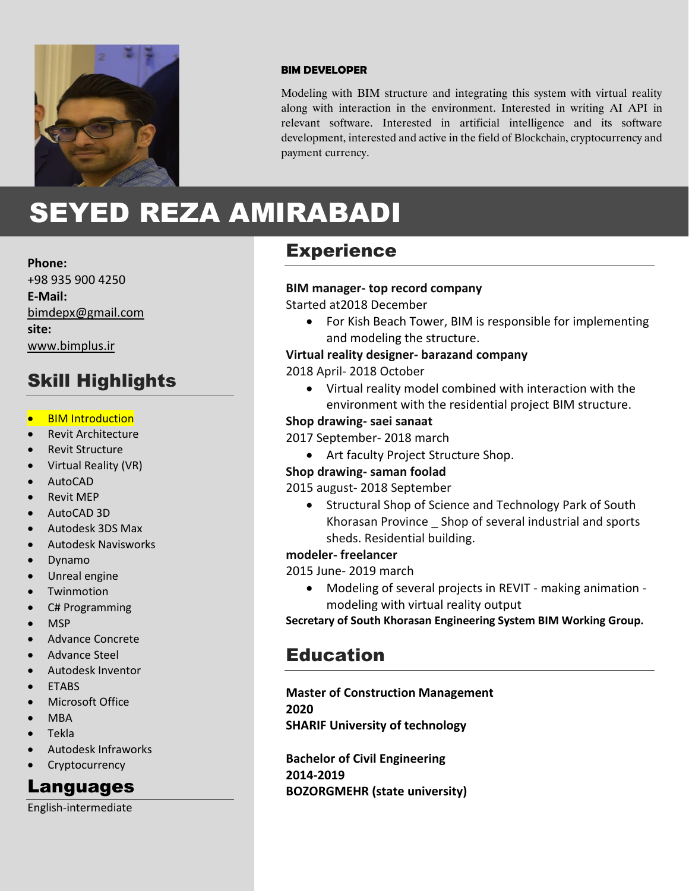

#### **BIM DEVELOPER**

Modeling with BIM structure and integrating this system with virtual reality along with interaction in the environment. Interested in writing AI API in relevant software. Interested in artificial intelligence and its software development, interested and active in the field of Blockchain, cryptocurrency and payment currency.

# SEYED REZA AMIRABADI

**Phone:**

+98 935 900 4250 **E-Mail:** [bimdepx@gmail.com](mailto:bimdepx@gmail.com) **site:** www.bimplus.ir

### Skill Highlights

- BIM Introduction
- Revit Architecture
- Revit Structure
- Virtual Reality (VR)
- AutoCAD
- Revit MEP
- AutoCAD 3D
- Autodesk 3DS Max
- Autodesk Navisworks
- Dynamo
- Unreal engine
- Twinmotion
- C# Programming
- MSP
- Advance Concrete
- Advance Steel
- Autodesk Inventor
- **ETABS**
- Microsoft Office
- MBA
- Tekla
- Autodesk Infraworks
- **Cryptocurrency**

### Languages

English-intermediate

### **Experience**

#### **BIM manager- top record company**

Started at2018 December

• For Kish Beach Tower, BIM is responsible for implementing and modeling the structure.

#### **Virtual reality designer- barazand company**

2018 April- 2018 October

• Virtual reality model combined with interaction with the environment with the residential project BIM structure.

### **Shop drawing- saei sanaat**

2017 September- 2018 march

• Art faculty Project Structure Shop.

### **Shop drawing- saman foolad**

2015 august- 2018 September

• Structural Shop of Science and Technology Park of South Khorasan Province \_ Shop of several industrial and sports sheds. Residential building.

### **modeler- freelancer**

2015 June- 2019 march

• Modeling of several projects in REVIT - making animation modeling with virtual reality output

**Secretary of South Khorasan Engineering System BIM Working Group.**

### Education

**Master of Construction Management 2020 SHARIF University of technology**

**Bachelor of Civil Engineering 2014-2019 BOZORGMEHR (state university)**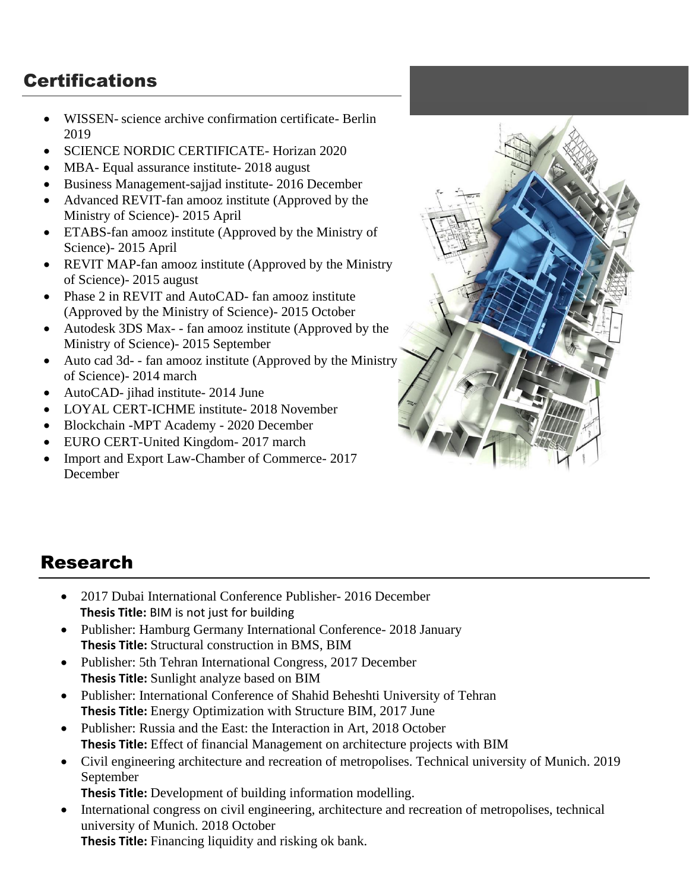## **Certifications**

- WISSEN- science archive confirmation certificate- Berlin 2019
- SCIENCE NORDIC CERTIFICATE- Horizan 2020
- MBA- Equal assurance institute- 2018 august
- Business Management-sajjad institute- 2016 December
- Advanced REVIT-fan amooz institute (Approved by the Ministry of Science)- 2015 April
- ETABS-fan amooz institute (Approved by the Ministry of Science)- 2015 April
- REVIT MAP-fan amooz institute (Approved by the Ministry of Science)- 2015 august
- Phase 2 in REVIT and AutoCAD- fan amooz institute (Approved by the Ministry of Science)- 2015 October
- Autodesk 3DS Max- fan amooz institute (Approved by the Ministry of Science)- 2015 September
- Auto cad 3d -- fan amooz institute (Approved by the Ministry of Science)- 2014 march
- AutoCAD- jihad institute- 2014 June
- LOYAL CERT-ICHME institute- 2018 November
- Blockchain -MPT Academy 2020 December
- EURO CERT-United Kingdom- 2017 march
- Import and Export Law-Chamber of Commerce- 2017 December



### Research

- 2017 Dubai International Conference Publisher-2016 December  **Thesis Title:** BIM is not just for building
- Publisher: Hamburg Germany International Conference- 2018 January **Thesis Title:** Structural construction in BMS, BIM
- Publisher: 5th Tehran International Congress, 2017 December **Thesis Title:** Sunlight analyze based on BIM
- Publisher: International Conference of Shahid Beheshti University of Tehran **Thesis Title:** Energy Optimization with Structure BIM, 2017 June
- Publisher: Russia and the East: the Interaction in Art, 2018 October **Thesis Title:** Effect of financial Management on architecture projects with BIM
- Civil engineering architecture and recreation of metropolises. Technical university of Munich. 2019 September

**Thesis Title:** Development of building information modelling.

• International congress on civil engineering, architecture and recreation of metropolises, technical university of Munich. 2018 October

**Thesis Title:** Financing liquidity and risking ok bank.